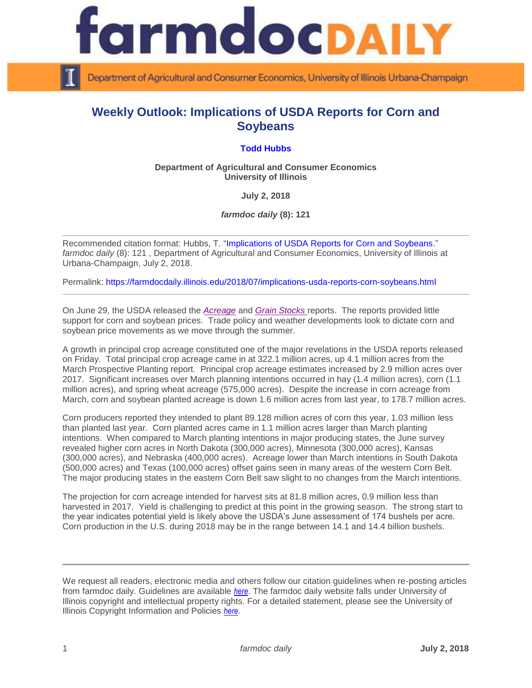

Department of Agricultural and Consumer Economics, University of Illinois Urbana-Champaign

## **Weekly Outlook: Implications of USDA Reports for Corn and Soybeans**

## **[Todd Hubbs](https://ace.illinois.edu/directory/jhubbs3)**

**Department of Agricultural and Consumer Economics University of Illinois**

**July 2, 2018**

*farmdoc daily* **(8): 121**

Recommended citation format: Hubbs, T. ["Implications of USDA Reports for Corn and Soybeans."](https://farmdocdaily.illinois.edu/2018/07/implications-usda-reports-corn-soybeans.html) *farmdoc daily* (8): 121 , Department of Agricultural and Consumer Economics, University of Illinois at Urbana-Champaign, July 2, 2018.

Permalink:<https://farmdocdaily.illinois.edu/2018/07/implications-usda-reports-corn-soybeans.html>

On June 29, the USDA released the *[Acreage](http://usda.mannlib.cornell.edu/MannUsda/viewDocumentInfo.do?documentID=1000)* and *[Grain Stocks](http://usda.mannlib.cornell.edu/MannUsda/viewDocumentInfo.do?documentID=1079)* reports. The reports provided little support for corn and soybean prices. Trade policy and weather developments look to dictate corn and soybean price movements as we move through the summer.

A growth in principal crop acreage constituted one of the major revelations in the USDA reports released on Friday. Total principal crop acreage came in at 322.1 million acres, up 4.1 million acres from the March Prospective Planting report. Principal crop acreage estimates increased by 2.9 million acres over 2017. Significant increases over March planning intentions occurred in hay (1.4 million acres), corn (1.1 million acres), and spring wheat acreage (575,000 acres). Despite the increase in corn acreage from March, corn and soybean planted acreage is down 1.6 million acres from last year, to 178.7 million acres.

Corn producers reported they intended to plant 89.128 million acres of corn this year, 1.03 million less than planted last year. Corn planted acres came in 1.1 million acres larger than March planting intentions. When compared to March planting intentions in major producing states, the June survey revealed higher corn acres in North Dakota (300,000 acres), Minnesota (300,000 acres), Kansas (300,000 acres), and Nebraska (400,000 acres). Acreage lower than March intentions in South Dakota (500,000 acres) and Texas (100,000 acres) offset gains seen in many areas of the western Corn Belt. The major producing states in the eastern Corn Belt saw slight to no changes from the March intentions.

The projection for corn acreage intended for harvest sits at 81.8 million acres, 0.9 million less than harvested in 2017. Yield is challenging to predict at this point in the growing season. The strong start to the year indicates potential yield is likely above the USDA's June assessment of 174 bushels per acre. Corn production in the U.S. during 2018 may be in the range between 14.1 and 14.4 billion bushels.

We request all readers, electronic media and others follow our citation guidelines when re-posting articles from farmdoc daily. Guidelines are available *[here](http://farmdocdaily.illinois.edu/citationguide.html)*. The farmdoc daily website falls under University of Illinois copyright and intellectual property rights. For a detailed statement, please see the University of Illinois Copyright Information and Policies *[here](http://www.cio.illinois.edu/policies/copyright/)*.